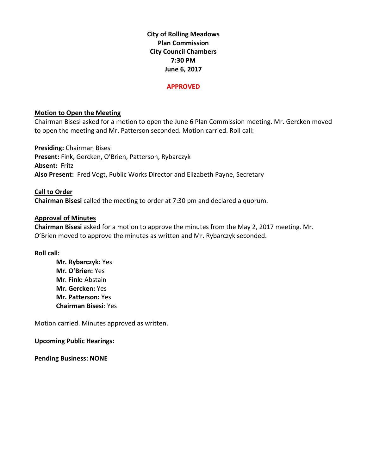**City of Rolling Meadows Plan Commission City Council Chambers 7:30 PM June 6, 2017**

#### **APPROVED**

## **Motion to Open the Meeting**

Chairman Bisesi asked for a motion to open the June 6 Plan Commission meeting. Mr. Gercken moved to open the meeting and Mr. Patterson seconded. Motion carried. Roll call:

**Presiding:** Chairman Bisesi **Present:** Fink, Gercken, O'Brien, Patterson, Rybarczyk **Absent:** Fritz **Also Present:** Fred Vogt, Public Works Director and Elizabeth Payne, Secretary

**Call to Order Chairman Bisesi** called the meeting to order at 7:30 pm and declared a quorum.

## **Approval of Minutes**

**Chairman Bisesi** asked for a motion to approve the minutes from the May 2, 2017 meeting. Mr. O'Brien moved to approve the minutes as written and Mr. Rybarczyk seconded.

## **Roll call:**

**Mr. Rybarczyk:** Yes **Mr. O'Brien:** Yes **Mr**. **Fink:** Abstain **Mr. Gercken:** Yes **Mr. Patterson:** Yes **Chairman Bisesi**: Yes

Motion carried. Minutes approved as written.

**Upcoming Public Hearings:**

**Pending Business: NONE**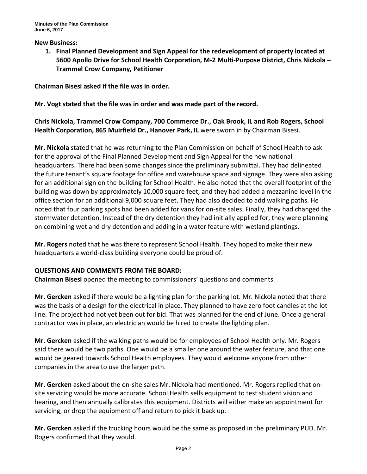#### **New Business:**

**1. Final Planned Development and Sign Appeal for the redevelopment of property located at 5600 Apollo Drive for School Health Corporation, M-2 Multi-Purpose District, Chris Nickola – Trammel Crow Company, Petitioner**

**Chairman Bisesi asked if the file was in order.**

## **Mr. Vogt stated that the file was in order and was made part of the record.**

**Chris Nickola, Trammel Crow Company, 700 Commerce Dr., Oak Brook, IL and Rob Rogers, School Health Corporation, 865 Muirfield Dr., Hanover Park, IL** were sworn in by Chairman Bisesi.

**Mr. Nickola** stated that he was returning to the Plan Commission on behalf of School Health to ask for the approval of the Final Planned Development and Sign Appeal for the new national headquarters. There had been some changes since the preliminary submittal. They had delineated the future tenant's square footage for office and warehouse space and signage. They were also asking for an additional sign on the building for School Health. He also noted that the overall footprint of the building was down by approximately 10,000 square feet, and they had added a mezzanine level in the office section for an additional 9,000 square feet. They had also decided to add walking paths. He noted that four parking spots had been added for vans for on-site sales. Finally, they had changed the stormwater detention. Instead of the dry detention they had initially applied for, they were planning on combining wet and dry detention and adding in a water feature with wetland plantings.

**Mr. Rogers** noted that he was there to represent School Health. They hoped to make their new headquarters a world-class building everyone could be proud of.

## **QUESTIONS AND COMMENTS FROM THE BOARD:**

**Chairman Bisesi** opened the meeting to commissioners' questions and comments.

**Mr. Gercken** asked if there would be a lighting plan for the parking lot. Mr. Nickola noted that there was the basis of a design for the electrical in place. They planned to have zero foot candles at the lot line. The project had not yet been out for bid. That was planned for the end of June. Once a general contractor was in place, an electrician would be hired to create the lighting plan.

**Mr. Gercken** asked if the walking paths would be for employees of School Health only. Mr. Rogers said there would be two paths. One would be a smaller one around the water feature, and that one would be geared towards School Health employees. They would welcome anyone from other companies in the area to use the larger path.

**Mr. Gercken** asked about the on-site sales Mr. Nickola had mentioned. Mr. Rogers replied that onsite servicing would be more accurate. School Health sells equipment to test student vision and hearing, and then annually calibrates this equipment. Districts will either make an appointment for servicing, or drop the equipment off and return to pick it back up.

**Mr. Gercken** asked if the trucking hours would be the same as proposed in the preliminary PUD. Mr. Rogers confirmed that they would.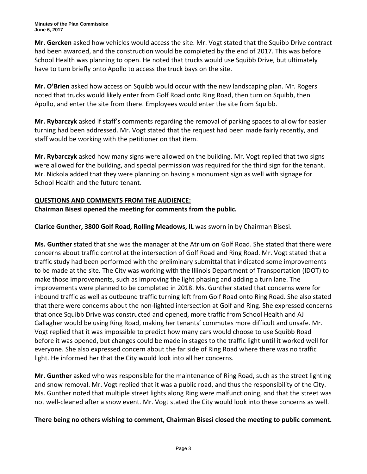**Mr. Gercken** asked how vehicles would access the site. Mr. Vogt stated that the Squibb Drive contract had been awarded, and the construction would be completed by the end of 2017. This was before School Health was planning to open. He noted that trucks would use Squibb Drive, but ultimately have to turn briefly onto Apollo to access the truck bays on the site.

**Mr. O'Brien** asked how access on Squibb would occur with the new landscaping plan. Mr. Rogers noted that trucks would likely enter from Golf Road onto Ring Road, then turn on Squibb, then Apollo, and enter the site from there. Employees would enter the site from Squibb.

**Mr. Rybarczyk** asked if staff's comments regarding the removal of parking spaces to allow for easier turning had been addressed. Mr. Vogt stated that the request had been made fairly recently, and staff would be working with the petitioner on that item.

**Mr. Rybarczyk** asked how many signs were allowed on the building. Mr. Vogt replied that two signs were allowed for the building, and special permission was required for the third sign for the tenant. Mr. Nickola added that they were planning on having a monument sign as well with signage for School Health and the future tenant.

# **QUESTIONS AND COMMENTS FROM THE AUDIENCE:**

# **Chairman Bisesi opened the meeting for comments from the public.**

**Clarice Gunther, 3800 Golf Road, Rolling Meadows, IL** was sworn in by Chairman Bisesi.

**Ms. Gunther** stated that she was the manager at the Atrium on Golf Road. She stated that there were concerns about traffic control at the intersection of Golf Road and Ring Road. Mr. Vogt stated that a traffic study had been performed with the preliminary submittal that indicated some improvements to be made at the site. The City was working with the Illinois Department of Transportation (IDOT) to make those improvements, such as improving the light phasing and adding a turn lane. The improvements were planned to be completed in 2018. Ms. Gunther stated that concerns were for inbound traffic as well as outbound traffic turning left from Golf Road onto Ring Road. She also stated that there were concerns about the non-lighted intersection at Golf and Ring. She expressed concerns that once Squibb Drive was constructed and opened, more traffic from School Health and AJ Gallagher would be using Ring Road, making her tenants' commutes more difficult and unsafe. Mr. Vogt replied that it was impossible to predict how many cars would choose to use Squibb Road before it was opened, but changes could be made in stages to the traffic light until it worked well for everyone. She also expressed concern about the far side of Ring Road where there was no traffic light. He informed her that the City would look into all her concerns.

**Mr. Gunther** asked who was responsible for the maintenance of Ring Road, such as the street lighting and snow removal. Mr. Vogt replied that it was a public road, and thus the responsibility of the City. Ms. Gunther noted that multiple street lights along Ring were malfunctioning, and that the street was not well-cleaned after a snow event. Mr. Vogt stated the City would look into these concerns as well.

## **There being no others wishing to comment, Chairman Bisesi closed the meeting to public comment.**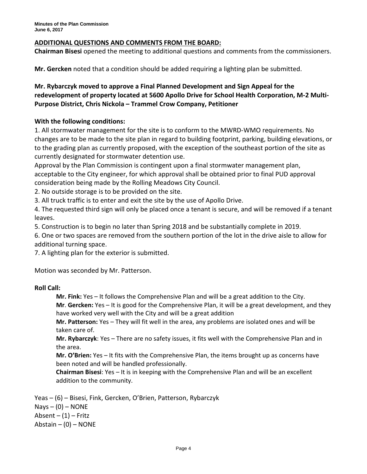## **ADDITIONAL QUESTIONS AND COMMENTS FROM THE BOARD:**

**Chairman Bisesi** opened the meeting to additional questions and comments from the commissioners.

**Mr. Gercken** noted that a condition should be added requiring a lighting plan be submitted.

# **Mr. Rybarczyk moved to approve a Final Planned Development and Sign Appeal for the redevelopment of property located at 5600 Apollo Drive for School Health Corporation, M-2 Multi-Purpose District, Chris Nickola – Trammel Crow Company, Petitioner**

## **With the following conditions:**

1. All stormwater management for the site is to conform to the MWRD-WMO requirements. No changes are to be made to the site plan in regard to building footprint, parking, building elevations, or to the grading plan as currently proposed, with the exception of the southeast portion of the site as currently designated for stormwater detention use.

Approval by the Plan Commission is contingent upon a final stormwater management plan, acceptable to the City engineer, for which approval shall be obtained prior to final PUD approval consideration being made by the Rolling Meadows City Council.

2. No outside storage is to be provided on the site.

3. All truck traffic is to enter and exit the site by the use of Apollo Drive.

4. The requested third sign will only be placed once a tenant is secure, and will be removed if a tenant leaves.

5. Construction is to begin no later than Spring 2018 and be substantially complete in 2019.

6. One or two spaces are removed from the southern portion of the lot in the drive aisle to allow for additional turning space.

7. A lighting plan for the exterior is submitted.

Motion was seconded by Mr. Patterson.

## **Roll Call:**

**Mr. Fink:** Yes – It follows the Comprehensive Plan and will be a great addition to the City.

**Mr**. **Gercken:** Yes – It is good for the Comprehensive Plan, it will be a great development, and they have worked very well with the City and will be a great addition

**Mr. Patterson:** Yes – They will fit well in the area, any problems are isolated ones and will be taken care of.

**Mr. Rybarczyk**: Yes – There are no safety issues, it fits well with the Comprehensive Plan and in the area.

**Mr. O'Brien:** Yes – It fits with the Comprehensive Plan, the items brought up as concerns have been noted and will be handled professionally.

**Chairman Bisesi**: Yes – It is in keeping with the Comprehensive Plan and will be an excellent addition to the community.

Yeas – (6) – Bisesi, Fink, Gercken, O'Brien, Patterson, Rybarczyk  $Nays - (0) - NONE$ Absent  $- (1)$  – Fritz Abstain  $-$  (0)  $-$  NONE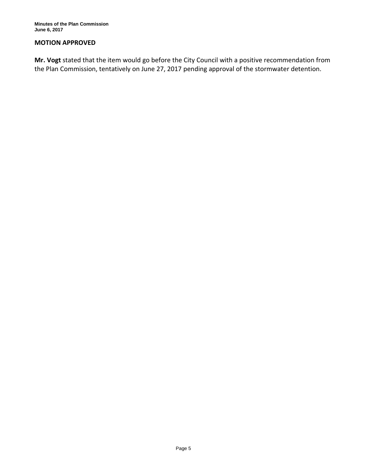#### **MOTION APPROVED**

**Mr. Vogt** stated that the item would go before the City Council with a positive recommendation from the Plan Commission, tentatively on June 27, 2017 pending approval of the stormwater detention.